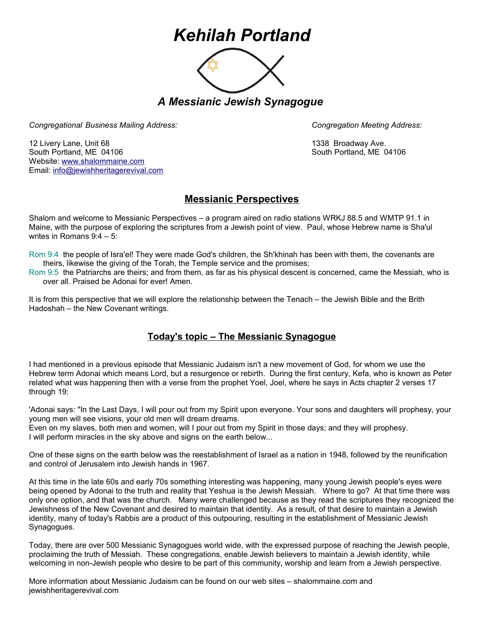## *Kehilah Portland*



*A Messianic Jewish Synagogue* 

*Congregational Business Mailing Address: Congregation Meeting Address:*

12 Livery Lane, Unit 68 1338 Broadway Ave. South Portland, ME 04106 South Portland, ME 04106 Website: [www.shalommaine.com](http://www.shalommaine.com/) Email: [info@jewishheritagerevival.com](mailto:info@jewishheritagerevival.com) 

## **Messianic Perspectives**

Shalom and welcome to Messianic Perspectives – a program aired on radio stations WRKJ 88.5 and WMTP 91.1 in Maine, with the purpose of exploring the scriptures from a Jewish point of view. Paul, whose Hebrew name is Sha'ul writes in Romans 9:4 – 5:

Rom 9:4 the people of Isra'el! They were made God's children, the Sh'khinah has been with them, the covenants are theirs, likewise the giving of the Torah, the Temple service and the promises;

Rom 9:5 the Patriarchs are theirs; and from them, as far as his physical descent is concerned, came the Messiah, who is over all. Praised be Adonai for ever! Amen.

It is from this perspective that we will explore the relationship between the Tenach – the Jewish Bible and the Brith Hadoshah – the New Covenant writings.

## **Today's topic – The Messianic Synagogue**

I had mentioned in a previous episode that Messianic Judaism isn't a new movement of God, for whom we use the Hebrew term Adonai which means Lord, but a resurgence or rebirth. During the first century, Kefa, who is known as Peter related what was happening then with a verse from the prophet Yoel, Joel, where he says in Acts chapter 2 verses 17 through 19:

'Adonai says: "In the Last Days, I will pour out from my Spirit upon everyone. Your sons and daughters will prophesy, your young men will see visions, your old men will dream dreams. Even on my slaves, both men and women, will I pour out from my Spirit in those days; and they will prophesy.

I will perform miracles in the sky above and signs on the earth below...

One of these signs on the earth below was the reestablishment of Israel as a nation in 1948, followed by the reunification and control of Jerusalem into Jewish hands in 1967.

At this time in the late 60s and early 70s something interesting was happening, many young Jewish people's eyes were being opened by Adonai to the truth and reality that Yeshua is the Jewish Messiah. Where to go? At that time there was only one option, and that was the church. Many were challenged because as they read the scriptures they recognized the Jewishness of the New Covenant and desired to maintain that identity. As a result, of that desire to maintain a Jewish identity, many of today's Rabbis are a product of this outpouring, resulting in the establishment of Messianic Jewish Synagogues.

Today, there are over 500 Messianic Synagogues world wide, with the expressed purpose of reaching the Jewish people, proclaiming the truth of Messiah. These congregations, enable Jewish believers to maintain a Jewish identity, while welcoming in non-Jewish people who desire to be part of this community, worship and learn from a Jewish perspective.

More information about Messianic Judaism can be found on our web sites – shalommaine.com and jewishheritagerevival.com